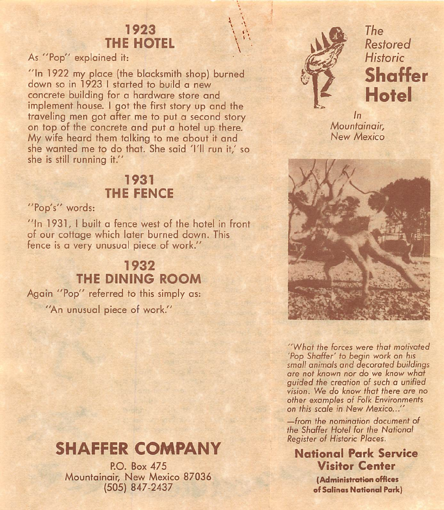## 1923 THE HOTEL

As "Pop" explained it:

"In 1922 my place (the blacksmith shop) burned down so in 1923 I started to build a new concrete building for a hardware store and implement house. 1 got the first story up and the traveling men got after me to put a second story on top of the concrete and put a hotel up there. My wife heard them talking to me about it and she wanted me to do that. She said 'I'll run it,' so she is still running it."

### 1931 THE FENCE

#### "Pop's" words:

"In 1931, I built a fence west of the hotel in front of our cottage which later burned down. This fence is a very unusual piece of work."

## 1932 **THE DINING ROOM**

Again "Pop" referred to this simply as: "An unusual piece of work."

# **SHAFFER COMPANY**

P.O. Box 475 Mountainair, New Mexico 87036 (505) 847-2437



 $\ddot{\phantom{1}}$  $\mathbf{v}$  $\overline{\phantom{a}}$ 

The Restored Historic **Shaffer Hotel** 

 $\ln$ Mountainair. New Mexico



''What the forces were that mofivafed 'Pop Shaffer' to begin work on his small animals and decorated buildings are not known nor do we know what guided the creation of such a unified vision. We do know that there are no other examples of Folk Environments on this scale in New Mexico..."

—from fhe nomination document of the Shaffer Hotel for the National Register of Historic Places.

Notional Park Service **Visitor Center** 

> (Administrotien offices of Sglinas National Park)